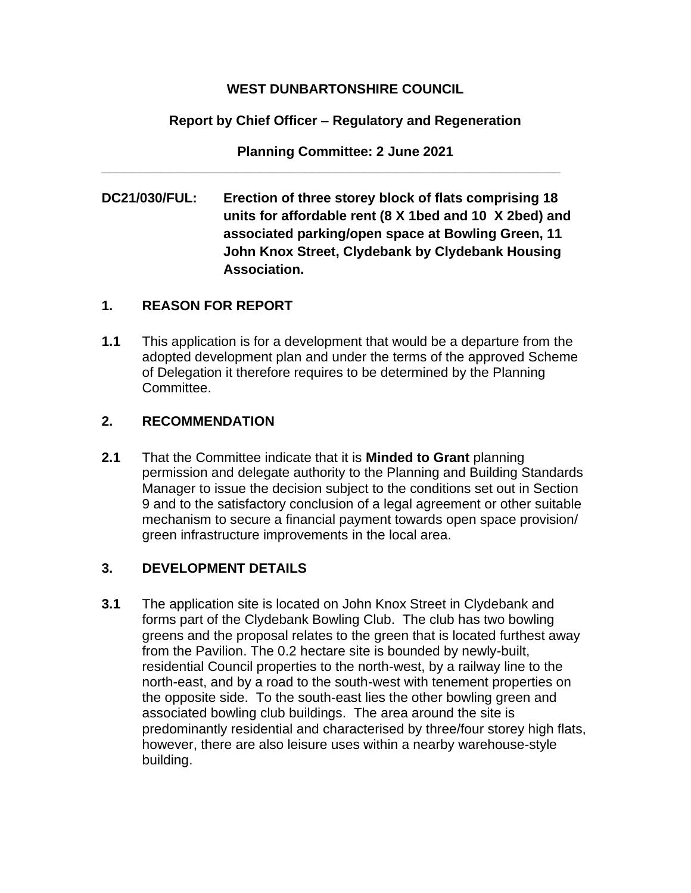## **WEST DUNBARTONSHIRE COUNCIL**

## **Report by Chief Officer – Regulatory and Regeneration**

**Planning Committee: 2 June 2021**

**\_\_\_\_\_\_\_\_\_\_\_\_\_\_\_\_\_\_\_\_\_\_\_\_\_\_\_\_\_\_\_\_\_\_\_\_\_\_\_\_\_\_\_\_\_\_\_\_\_\_\_\_\_\_\_\_\_\_\_\_\_**

**DC21/030/FUL: Erection of three storey block of flats comprising 18 units for affordable rent (8 X 1bed and 10 X 2bed) and associated parking/open space at Bowling Green, 11 John Knox Street, Clydebank by Clydebank Housing Association.**

## **1. REASON FOR REPORT**

**1.1** This application is for a development that would be a departure from the adopted development plan and under the terms of the approved Scheme of Delegation it therefore requires to be determined by the Planning Committee.

## **2. RECOMMENDATION**

**2.1** That the Committee indicate that it is **Minded to Grant** planning permission and delegate authority to the Planning and Building Standards Manager to issue the decision subject to the conditions set out in Section 9 and to the satisfactory conclusion of a legal agreement or other suitable mechanism to secure a financial payment towards open space provision/ green infrastructure improvements in the local area.

## **3. DEVELOPMENT DETAILS**

**3.1** The application site is located on John Knox Street in Clydebank and forms part of the Clydebank Bowling Club. The club has two bowling greens and the proposal relates to the green that is located furthest away from the Pavilion. The 0.2 hectare site is bounded by newly-built, residential Council properties to the north-west, by a railway line to the north-east, and by a road to the south-west with tenement properties on the opposite side. To the south-east lies the other bowling green and associated bowling club buildings. The area around the site is predominantly residential and characterised by three/four storey high flats, however, there are also leisure uses within a nearby warehouse-style building.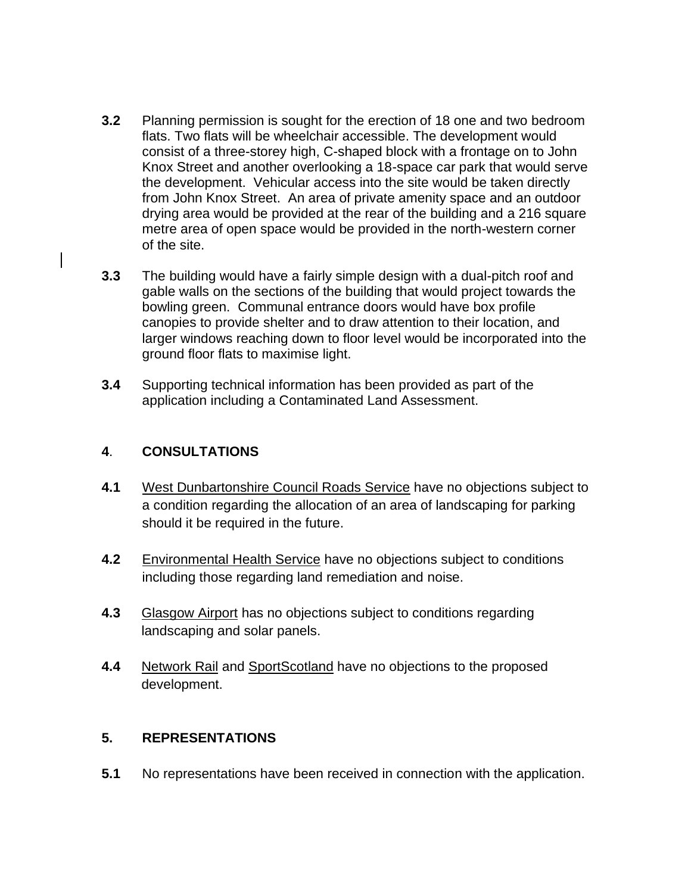- **3.2** Planning permission is sought for the erection of 18 one and two bedroom flats. Two flats will be wheelchair accessible. The development would consist of a three-storey high, C-shaped block with a frontage on to John Knox Street and another overlooking a 18-space car park that would serve the development. Vehicular access into the site would be taken directly from John Knox Street. An area of private amenity space and an outdoor drying area would be provided at the rear of the building and a 216 square metre area of open space would be provided in the north-western corner of the site.
- **3.3** The building would have a fairly simple design with a dual-pitch roof and gable walls on the sections of the building that would project towards the bowling green. Communal entrance doors would have box profile canopies to provide shelter and to draw attention to their location, and larger windows reaching down to floor level would be incorporated into the ground floor flats to maximise light.
- **3.4** Supporting technical information has been provided as part of the application including a Contaminated Land Assessment.

### **4**. **CONSULTATIONS**

- **4.1** West Dunbartonshire Council Roads Service have no objections subject to a condition regarding the allocation of an area of landscaping for parking should it be required in the future.
- **4.2** Environmental Health Service have no objections subject to conditions including those regarding land remediation and noise.
- **4.3** Glasgow Airport has no objections subject to conditions regarding landscaping and solar panels.
- **4.4** Network Rail and SportScotland have no objections to the proposed development.

## **5. REPRESENTATIONS**

**5.1** No representations have been received in connection with the application.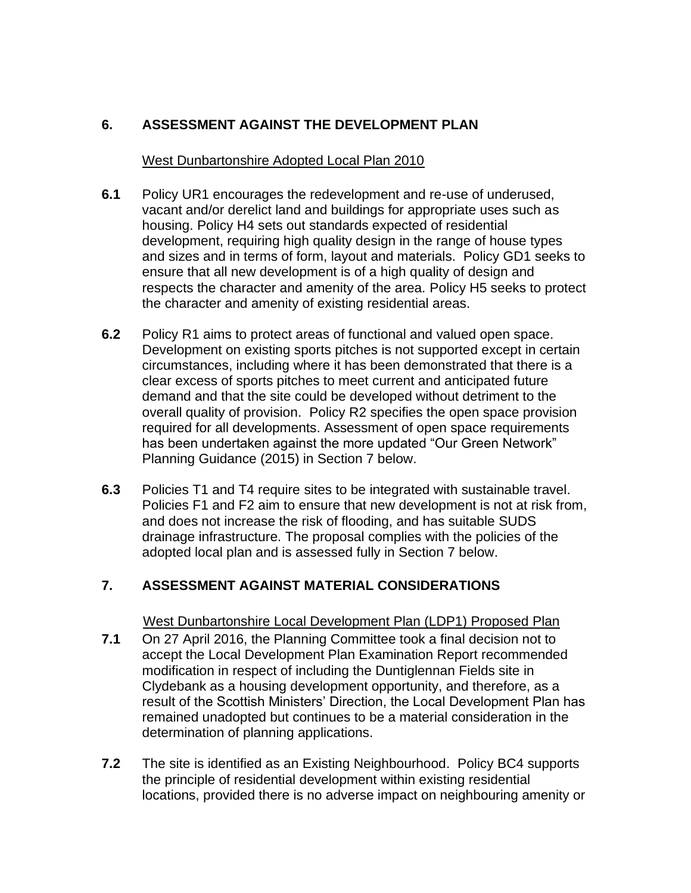# **6. ASSESSMENT AGAINST THE DEVELOPMENT PLAN**

#### West Dunbartonshire Adopted Local Plan 2010

- **6.1** Policy UR1 encourages the redevelopment and re-use of underused, vacant and/or derelict land and buildings for appropriate uses such as housing. Policy H4 sets out standards expected of residential development, requiring high quality design in the range of house types and sizes and in terms of form, layout and materials. Policy GD1 seeks to ensure that all new development is of a high quality of design and respects the character and amenity of the area. Policy H5 seeks to protect the character and amenity of existing residential areas.
- **6.2** Policy R1 aims to protect areas of functional and valued open space. Development on existing sports pitches is not supported except in certain circumstances, including where it has been demonstrated that there is a clear excess of sports pitches to meet current and anticipated future demand and that the site could be developed without detriment to the overall quality of provision. Policy R2 specifies the open space provision required for all developments. Assessment of open space requirements has been undertaken against the more updated "Our Green Network" Planning Guidance (2015) in Section 7 below.
- **6.3** Policies T1 and T4 require sites to be integrated with sustainable travel. Policies F1 and F2 aim to ensure that new development is not at risk from, and does not increase the risk of flooding, and has suitable SUDS drainage infrastructure. The proposal complies with the policies of the adopted local plan and is assessed fully in Section 7 below.

## **7. ASSESSMENT AGAINST MATERIAL CONSIDERATIONS**

#### West Dunbartonshire Local Development Plan (LDP1) Proposed Plan

- **7.1** On 27 April 2016, the Planning Committee took a final decision not to accept the Local Development Plan Examination Report recommended modification in respect of including the Duntiglennan Fields site in Clydebank as a housing development opportunity, and therefore, as a result of the Scottish Ministers' Direction, the Local Development Plan has remained unadopted but continues to be a material consideration in the determination of planning applications.
- **7.2** The site is identified as an Existing Neighbourhood. Policy BC4 supports the principle of residential development within existing residential locations, provided there is no adverse impact on neighbouring amenity or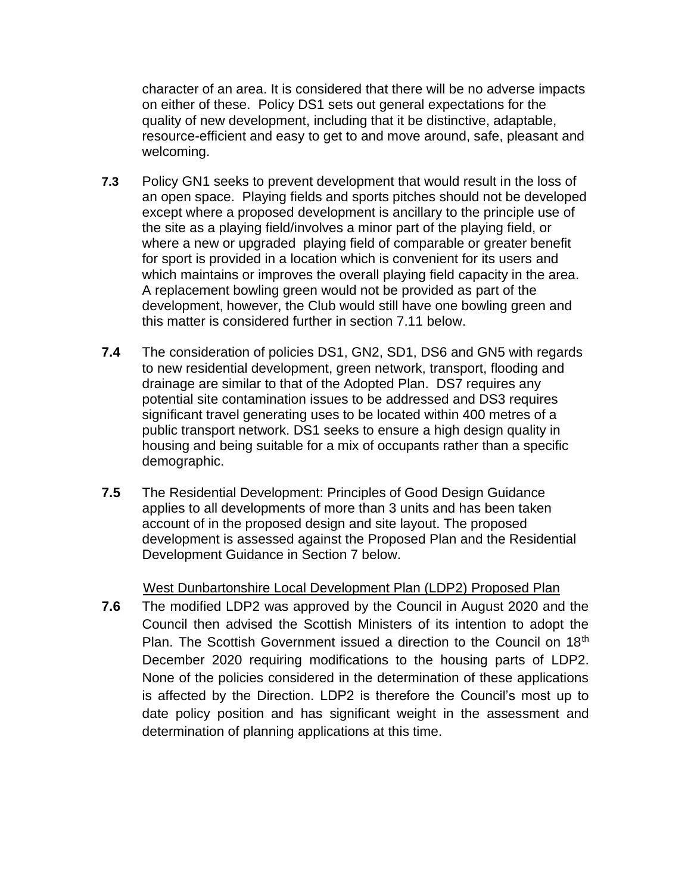character of an area. It is considered that there will be no adverse impacts on either of these. Policy DS1 sets out general expectations for the quality of new development, including that it be distinctive, adaptable, resource-efficient and easy to get to and move around, safe, pleasant and welcoming.

- **7.3** Policy GN1 seeks to prevent development that would result in the loss of an open space. Playing fields and sports pitches should not be developed except where a proposed development is ancillary to the principle use of the site as a playing field/involves a minor part of the playing field, or where a new or upgraded playing field of comparable or greater benefit for sport is provided in a location which is convenient for its users and which maintains or improves the overall playing field capacity in the area. A replacement bowling green would not be provided as part of the development, however, the Club would still have one bowling green and this matter is considered further in section 7.11 below.
- **7.4** The consideration of policies DS1, GN2, SD1, DS6 and GN5 with regards to new residential development, green network, transport, flooding and drainage are similar to that of the Adopted Plan. DS7 requires any potential site contamination issues to be addressed and DS3 requires significant travel generating uses to be located within 400 metres of a public transport network. DS1 seeks to ensure a high design quality in housing and being suitable for a mix of occupants rather than a specific demographic.
- **7.5** The Residential Development: Principles of Good Design Guidance applies to all developments of more than 3 units and has been taken account of in the proposed design and site layout. The proposed development is assessed against the Proposed Plan and the Residential Development Guidance in Section 7 below.

#### West Dunbartonshire Local Development Plan (LDP2) Proposed Plan

**7.6** The modified LDP2 was approved by the Council in August 2020 and the Council then advised the Scottish Ministers of its intention to adopt the Plan. The Scottish Government issued a direction to the Council on 18<sup>th</sup> December 2020 requiring modifications to the housing parts of LDP2. None of the policies considered in the determination of these applications is affected by the Direction. LDP2 is therefore the Council's most up to date policy position and has significant weight in the assessment and determination of planning applications at this time.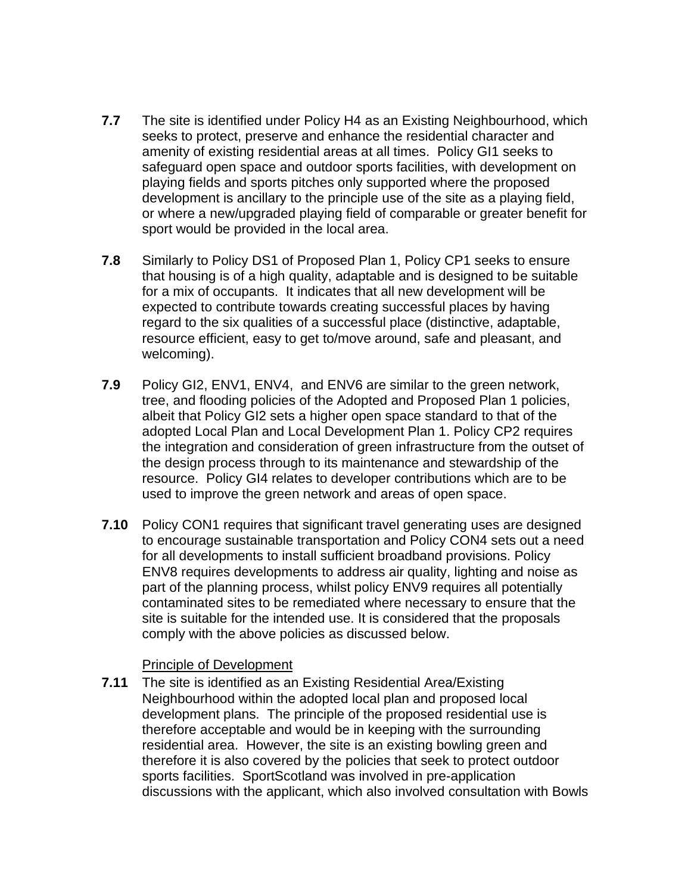- **7.7** The site is identified under Policy H4 as an Existing Neighbourhood, which seeks to protect, preserve and enhance the residential character and amenity of existing residential areas at all times. Policy GI1 seeks to safeguard open space and outdoor sports facilities, with development on playing fields and sports pitches only supported where the proposed development is ancillary to the principle use of the site as a playing field, or where a new/upgraded playing field of comparable or greater benefit for sport would be provided in the local area.
- **7.8** Similarly to Policy DS1 of Proposed Plan 1, Policy CP1 seeks to ensure that housing is of a high quality, adaptable and is designed to be suitable for a mix of occupants. It indicates that all new development will be expected to contribute towards creating successful places by having regard to the six qualities of a successful place (distinctive, adaptable, resource efficient, easy to get to/move around, safe and pleasant, and welcoming).
- **7.9** Policy GI2, ENV1, ENV4, and ENV6 are similar to the green network, tree, and flooding policies of the Adopted and Proposed Plan 1 policies, albeit that Policy GI2 sets a higher open space standard to that of the adopted Local Plan and Local Development Plan 1. Policy CP2 requires the integration and consideration of green infrastructure from the outset of the design process through to its maintenance and stewardship of the resource. Policy GI4 relates to developer contributions which are to be used to improve the green network and areas of open space.
- **7.10** Policy CON1 requires that significant travel generating uses are designed to encourage sustainable transportation and Policy CON4 sets out a need for all developments to install sufficient broadband provisions. Policy ENV8 requires developments to address air quality, lighting and noise as part of the planning process, whilst policy ENV9 requires all potentially contaminated sites to be remediated where necessary to ensure that the site is suitable for the intended use. It is considered that the proposals comply with the above policies as discussed below.

#### Principle of Development

**7.11** The site is identified as an Existing Residential Area/Existing Neighbourhood within the adopted local plan and proposed local development plans. The principle of the proposed residential use is therefore acceptable and would be in keeping with the surrounding residential area. However, the site is an existing bowling green and therefore it is also covered by the policies that seek to protect outdoor sports facilities. SportScotland was involved in pre-application discussions with the applicant, which also involved consultation with Bowls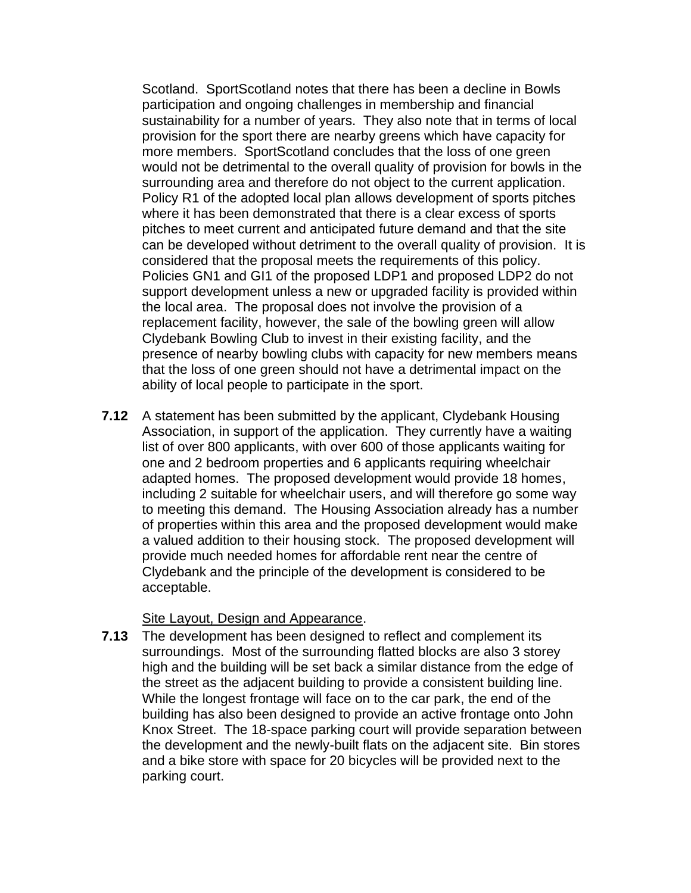Scotland. SportScotland notes that there has been a decline in Bowls participation and ongoing challenges in membership and financial sustainability for a number of years. They also note that in terms of local provision for the sport there are nearby greens which have capacity for more members. SportScotland concludes that the loss of one green would not be detrimental to the overall quality of provision for bowls in the surrounding area and therefore do not object to the current application. Policy R1 of the adopted local plan allows development of sports pitches where it has been demonstrated that there is a clear excess of sports pitches to meet current and anticipated future demand and that the site can be developed without detriment to the overall quality of provision. It is considered that the proposal meets the requirements of this policy. Policies GN1 and GI1 of the proposed LDP1 and proposed LDP2 do not support development unless a new or upgraded facility is provided within the local area. The proposal does not involve the provision of a replacement facility, however, the sale of the bowling green will allow Clydebank Bowling Club to invest in their existing facility, and the presence of nearby bowling clubs with capacity for new members means that the loss of one green should not have a detrimental impact on the ability of local people to participate in the sport.

**7.12** A statement has been submitted by the applicant, Clydebank Housing Association, in support of the application. They currently have a waiting list of over 800 applicants, with over 600 of those applicants waiting for one and 2 bedroom properties and 6 applicants requiring wheelchair adapted homes. The proposed development would provide 18 homes, including 2 suitable for wheelchair users, and will therefore go some way to meeting this demand. The Housing Association already has a number of properties within this area and the proposed development would make a valued addition to their housing stock. The proposed development will provide much needed homes for affordable rent near the centre of Clydebank and the principle of the development is considered to be acceptable.

#### Site Layout, Design and Appearance.

**7.13** The development has been designed to reflect and complement its surroundings. Most of the surrounding flatted blocks are also 3 storey high and the building will be set back a similar distance from the edge of the street as the adjacent building to provide a consistent building line. While the longest frontage will face on to the car park, the end of the building has also been designed to provide an active frontage onto John Knox Street. The 18-space parking court will provide separation between the development and the newly-built flats on the adjacent site. Bin stores and a bike store with space for 20 bicycles will be provided next to the parking court.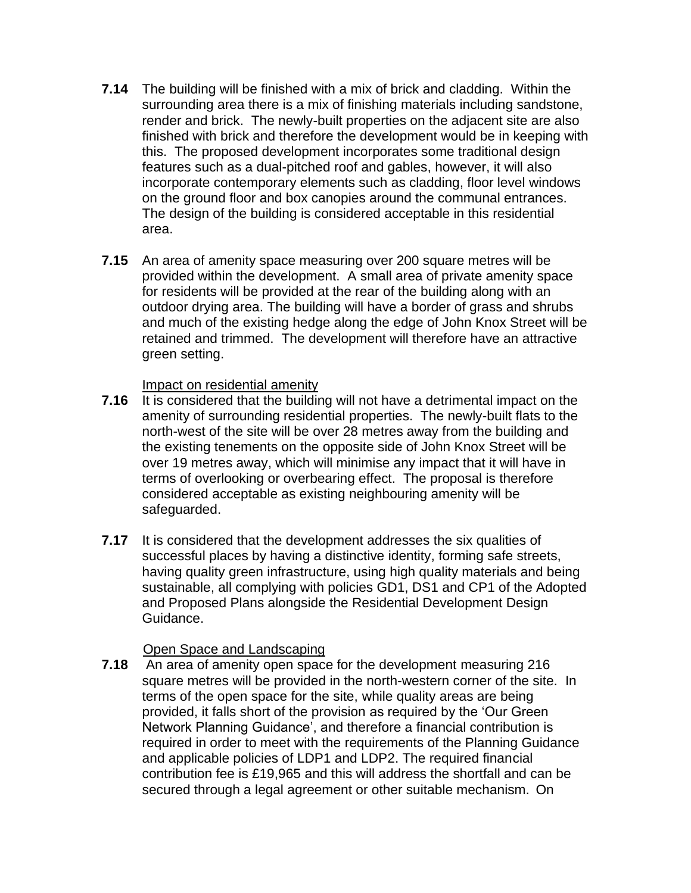- **7.14** The building will be finished with a mix of brick and cladding. Within the surrounding area there is a mix of finishing materials including sandstone, render and brick. The newly-built properties on the adjacent site are also finished with brick and therefore the development would be in keeping with this. The proposed development incorporates some traditional design features such as a dual-pitched roof and gables, however, it will also incorporate contemporary elements such as cladding, floor level windows on the ground floor and box canopies around the communal entrances. The design of the building is considered acceptable in this residential area.
- **7.15** An area of amenity space measuring over 200 square metres will be provided within the development. A small area of private amenity space for residents will be provided at the rear of the building along with an outdoor drying area. The building will have a border of grass and shrubs and much of the existing hedge along the edge of John Knox Street will be retained and trimmed. The development will therefore have an attractive green setting.

#### Impact on residential amenity

- **7.16** It is considered that the building will not have a detrimental impact on the amenity of surrounding residential properties. The newly-built flats to the north-west of the site will be over 28 metres away from the building and the existing tenements on the opposite side of John Knox Street will be over 19 metres away, which will minimise any impact that it will have in terms of overlooking or overbearing effect. The proposal is therefore considered acceptable as existing neighbouring amenity will be safeguarded.
- **7.17** It is considered that the development addresses the six qualities of successful places by having a distinctive identity, forming safe streets, having quality green infrastructure, using high quality materials and being sustainable, all complying with policies GD1, DS1 and CP1 of the Adopted and Proposed Plans alongside the Residential Development Design Guidance.

#### Open Space and Landscaping

**7.18** An area of amenity open space for the development measuring 216 square metres will be provided in the north-western corner of the site. In terms of the open space for the site, while quality areas are being provided, it falls short of the provision as required by the 'Our Green Network Planning Guidance', and therefore a financial contribution is required in order to meet with the requirements of the Planning Guidance and applicable policies of LDP1 and LDP2. The required financial contribution fee is £19,965 and this will address the shortfall and can be secured through a legal agreement or other suitable mechanism. On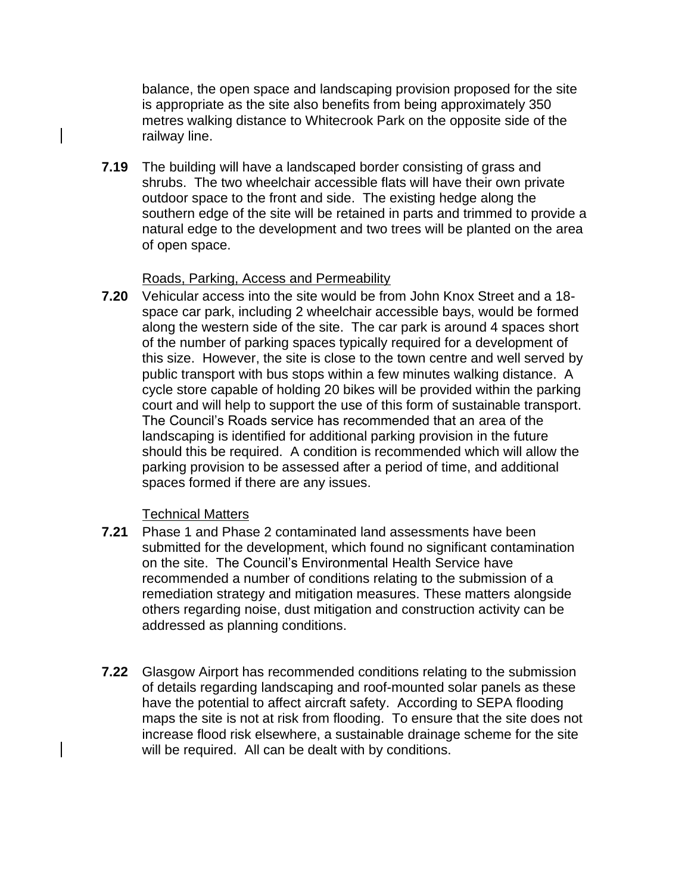balance, the open space and landscaping provision proposed for the site is appropriate as the site also benefits from being approximately 350 metres walking distance to Whitecrook Park on the opposite side of the railway line.

**7.19** The building will have a landscaped border consisting of grass and shrubs. The two wheelchair accessible flats will have their own private outdoor space to the front and side. The existing hedge along the southern edge of the site will be retained in parts and trimmed to provide a natural edge to the development and two trees will be planted on the area of open space.

#### Roads, Parking, Access and Permeability

**7.20** Vehicular access into the site would be from John Knox Street and a 18 space car park, including 2 wheelchair accessible bays, would be formed along the western side of the site. The car park is around 4 spaces short of the number of parking spaces typically required for a development of this size. However, the site is close to the town centre and well served by public transport with bus stops within a few minutes walking distance. A cycle store capable of holding 20 bikes will be provided within the parking court and will help to support the use of this form of sustainable transport. The Council's Roads service has recommended that an area of the landscaping is identified for additional parking provision in the future should this be required. A condition is recommended which will allow the parking provision to be assessed after a period of time, and additional spaces formed if there are any issues.

#### Technical Matters

- **7.21** Phase 1 and Phase 2 contaminated land assessments have been submitted for the development, which found no significant contamination on the site. The Council's Environmental Health Service have recommended a number of conditions relating to the submission of a remediation strategy and mitigation measures. These matters alongside others regarding noise, dust mitigation and construction activity can be addressed as planning conditions.
- **7.22** Glasgow Airport has recommended conditions relating to the submission of details regarding landscaping and roof-mounted solar panels as these have the potential to affect aircraft safety. According to SEPA flooding maps the site is not at risk from flooding. To ensure that the site does not increase flood risk elsewhere, a sustainable drainage scheme for the site will be required. All can be dealt with by conditions.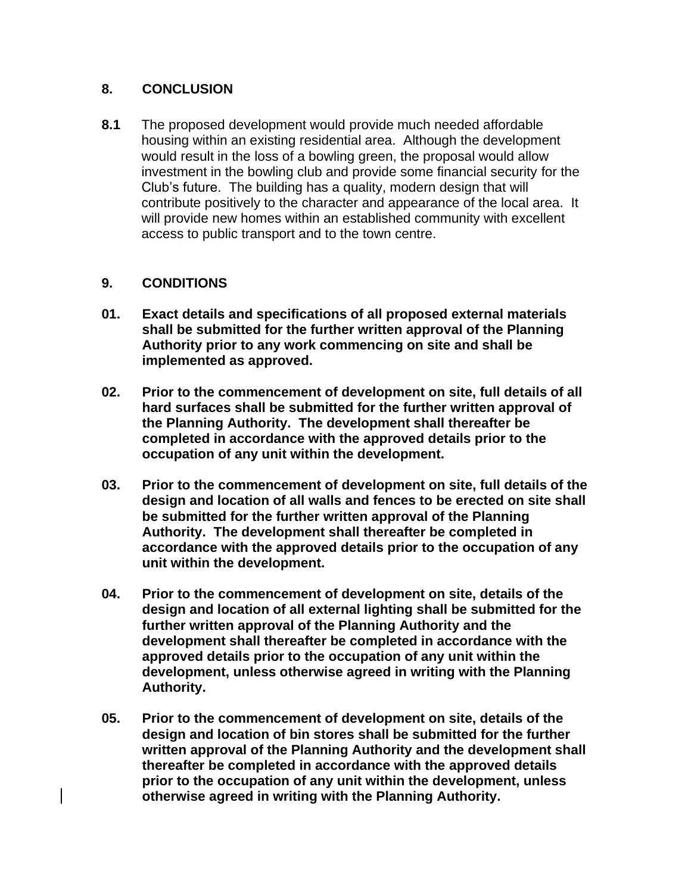## **8. CONCLUSION**

**8.1** The proposed development would provide much needed affordable housing within an existing residential area. Although the development would result in the loss of a bowling green, the proposal would allow investment in the bowling club and provide some financial security for the Club's future. The building has a quality, modern design that will contribute positively to the character and appearance of the local area. It will provide new homes within an established community with excellent access to public transport and to the town centre.

#### **9. CONDITIONS**

- **01. Exact details and specifications of all proposed external materials shall be submitted for the further written approval of the Planning Authority prior to any work commencing on site and shall be implemented as approved.**
- **02. Prior to the commencement of development on site, full details of all hard surfaces shall be submitted for the further written approval of the Planning Authority. The development shall thereafter be completed in accordance with the approved details prior to the occupation of any unit within the development.**
- **03. Prior to the commencement of development on site, full details of the design and location of all walls and fences to be erected on site shall be submitted for the further written approval of the Planning Authority. The development shall thereafter be completed in accordance with the approved details prior to the occupation of any unit within the development.**
- **04. Prior to the commencement of development on site, details of the design and location of all external lighting shall be submitted for the further written approval of the Planning Authority and the development shall thereafter be completed in accordance with the approved details prior to the occupation of any unit within the development, unless otherwise agreed in writing with the Planning Authority.**
- **05. Prior to the commencement of development on site, details of the design and location of bin stores shall be submitted for the further written approval of the Planning Authority and the development shall thereafter be completed in accordance with the approved details prior to the occupation of any unit within the development, unless otherwise agreed in writing with the Planning Authority.**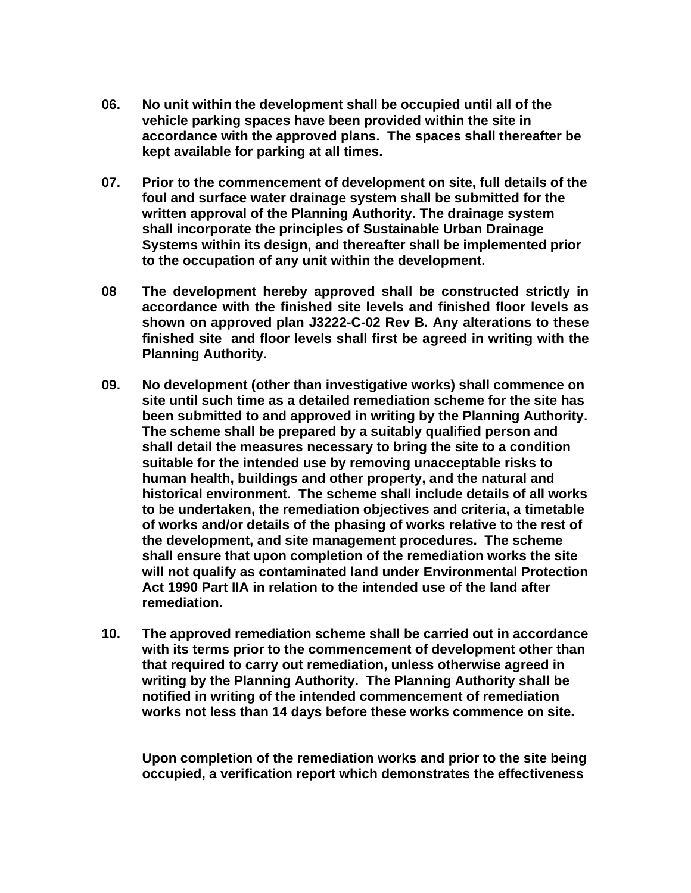- **06. No unit within the development shall be occupied until all of the vehicle parking spaces have been provided within the site in accordance with the approved plans. The spaces shall thereafter be kept available for parking at all times.**
- **07. Prior to the commencement of development on site, full details of the foul and surface water drainage system shall be submitted for the written approval of the Planning Authority. The drainage system shall incorporate the principles of Sustainable Urban Drainage Systems within its design, and thereafter shall be implemented prior to the occupation of any unit within the development.**
- **08 The development hereby approved shall be constructed strictly in accordance with the finished site levels and finished floor levels as shown on approved plan J3222-C-02 Rev B. Any alterations to these finished site and floor levels shall first be agreed in writing with the Planning Authority.**
- **09. No development (other than investigative works) shall commence on site until such time as a detailed remediation scheme for the site has been submitted to and approved in writing by the Planning Authority. The scheme shall be prepared by a suitably qualified person and shall detail the measures necessary to bring the site to a condition suitable for the intended use by removing unacceptable risks to human health, buildings and other property, and the natural and historical environment. The scheme shall include details of all works to be undertaken, the remediation objectives and criteria, a timetable of works and/or details of the phasing of works relative to the rest of the development, and site management procedures. The scheme shall ensure that upon completion of the remediation works the site will not qualify as contaminated land under Environmental Protection Act 1990 Part IIA in relation to the intended use of the land after remediation.**
- **10. The approved remediation scheme shall be carried out in accordance with its terms prior to the commencement of development other than that required to carry out remediation, unless otherwise agreed in writing by the Planning Authority. The Planning Authority shall be notified in writing of the intended commencement of remediation works not less than 14 days before these works commence on site.**

**Upon completion of the remediation works and prior to the site being occupied, a verification report which demonstrates the effectiveness**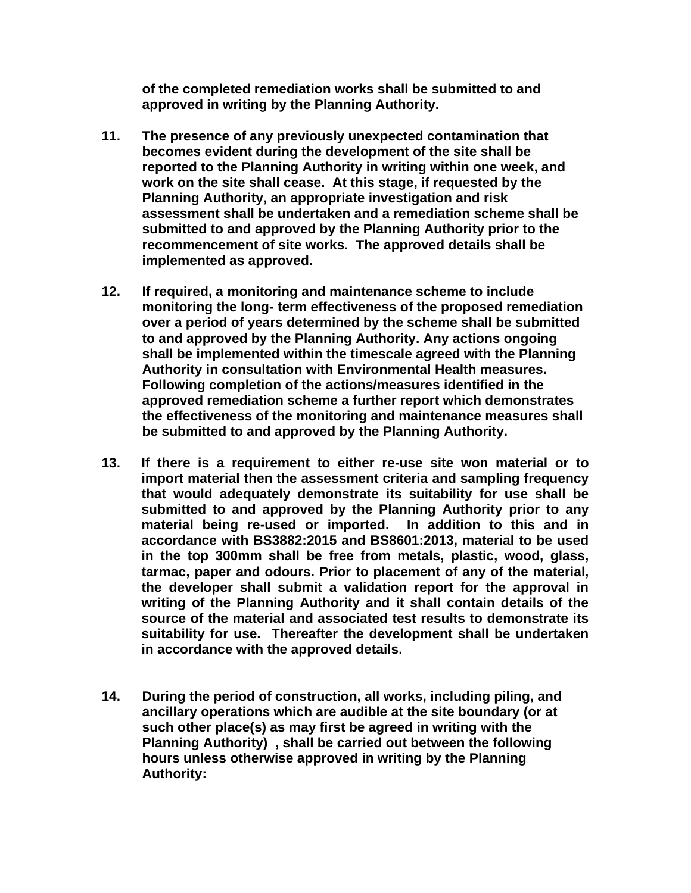**of the completed remediation works shall be submitted to and approved in writing by the Planning Authority.**

- **11. The presence of any previously unexpected contamination that becomes evident during the development of the site shall be reported to the Planning Authority in writing within one week, and work on the site shall cease. At this stage, if requested by the Planning Authority, an appropriate investigation and risk assessment shall be undertaken and a remediation scheme shall be submitted to and approved by the Planning Authority prior to the recommencement of site works. The approved details shall be implemented as approved.**
- **12. If required, a monitoring and maintenance scheme to include monitoring the long- term effectiveness of the proposed remediation over a period of years determined by the scheme shall be submitted to and approved by the Planning Authority. Any actions ongoing shall be implemented within the timescale agreed with the Planning Authority in consultation with Environmental Health measures. Following completion of the actions/measures identified in the approved remediation scheme a further report which demonstrates the effectiveness of the monitoring and maintenance measures shall be submitted to and approved by the Planning Authority.**
- **13. If there is a requirement to either re-use site won material or to import material then the assessment criteria and sampling frequency that would adequately demonstrate its suitability for use shall be submitted to and approved by the Planning Authority prior to any material being re-used or imported. In addition to this and in accordance with BS3882:2015 and BS8601:2013, material to be used in the top 300mm shall be free from metals, plastic, wood, glass, tarmac, paper and odours. Prior to placement of any of the material, the developer shall submit a validation report for the approval in writing of the Planning Authority and it shall contain details of the source of the material and associated test results to demonstrate its suitability for use. Thereafter the development shall be undertaken in accordance with the approved details.**
- **14. During the period of construction, all works, including piling, and ancillary operations which are audible at the site boundary (or at such other place(s) as may first be agreed in writing with the Planning Authority) , shall be carried out between the following hours unless otherwise approved in writing by the Planning Authority:**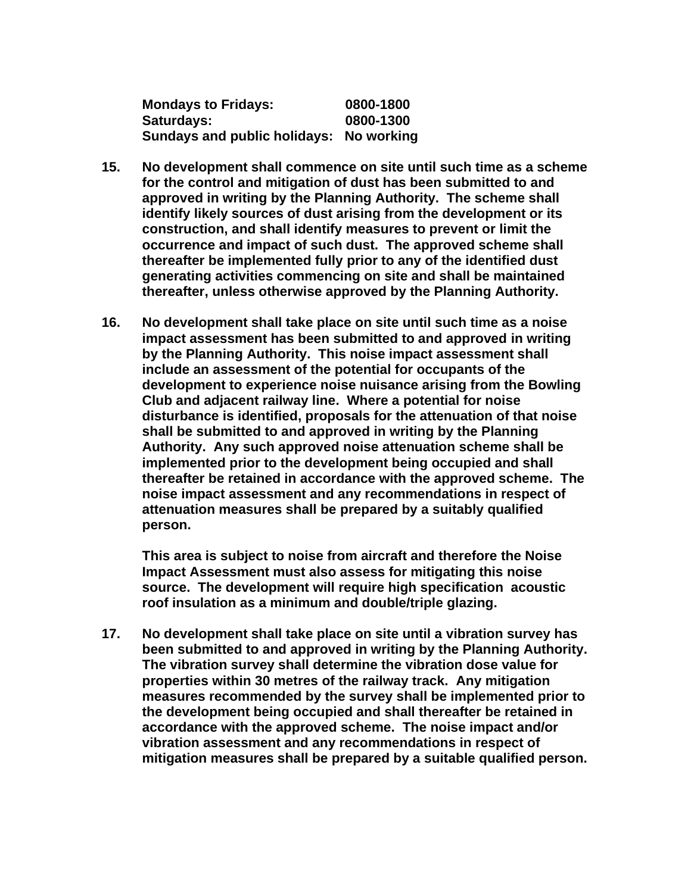| <b>Mondays to Fridays:</b>              | 0800-1800 |
|-----------------------------------------|-----------|
| Saturdays:                              | 0800-1300 |
| Sundays and public holidays: No working |           |

- **15. No development shall commence on site until such time as a scheme for the control and mitigation of dust has been submitted to and approved in writing by the Planning Authority. The scheme shall identify likely sources of dust arising from the development or its construction, and shall identify measures to prevent or limit the occurrence and impact of such dust. The approved scheme shall thereafter be implemented fully prior to any of the identified dust generating activities commencing on site and shall be maintained thereafter, unless otherwise approved by the Planning Authority.**
- **16. No development shall take place on site until such time as a noise impact assessment has been submitted to and approved in writing by the Planning Authority. This noise impact assessment shall include an assessment of the potential for occupants of the development to experience noise nuisance arising from the Bowling Club and adjacent railway line. Where a potential for noise disturbance is identified, proposals for the attenuation of that noise shall be submitted to and approved in writing by the Planning Authority. Any such approved noise attenuation scheme shall be implemented prior to the development being occupied and shall thereafter be retained in accordance with the approved scheme. The noise impact assessment and any recommendations in respect of attenuation measures shall be prepared by a suitably qualified person.**

**This area is subject to noise from aircraft and therefore the Noise Impact Assessment must also assess for mitigating this noise source. The development will require high specification acoustic roof insulation as a minimum and double/triple glazing.**

**17. No development shall take place on site until a vibration survey has been submitted to and approved in writing by the Planning Authority. The vibration survey shall determine the vibration dose value for properties within 30 metres of the railway track. Any mitigation measures recommended by the survey shall be implemented prior to the development being occupied and shall thereafter be retained in accordance with the approved scheme. The noise impact and/or vibration assessment and any recommendations in respect of mitigation measures shall be prepared by a suitable qualified person.**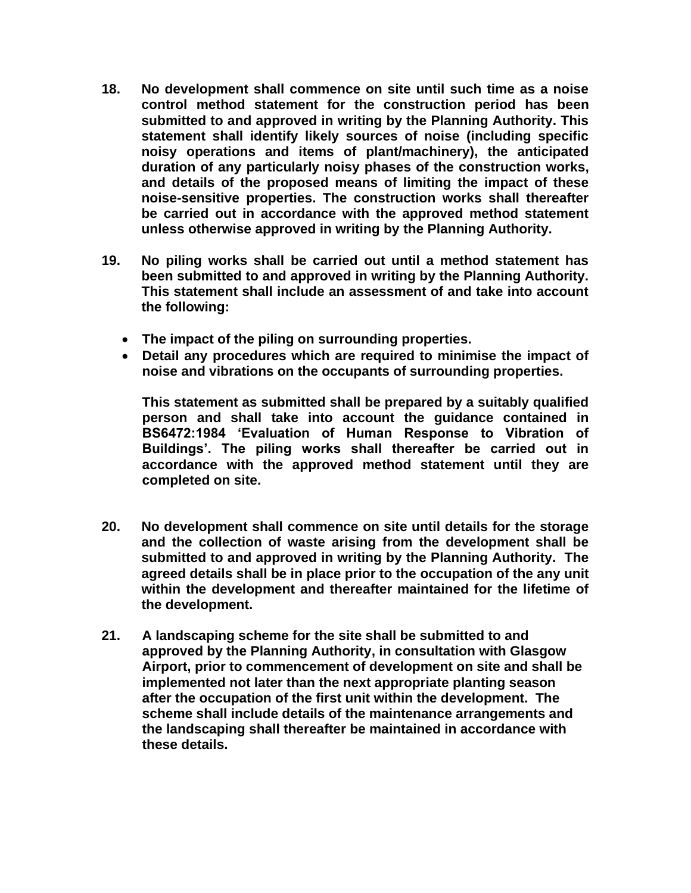- **18. No development shall commence on site until such time as a noise control method statement for the construction period has been submitted to and approved in writing by the Planning Authority. This statement shall identify likely sources of noise (including specific noisy operations and items of plant/machinery), the anticipated duration of any particularly noisy phases of the construction works, and details of the proposed means of limiting the impact of these noise-sensitive properties. The construction works shall thereafter be carried out in accordance with the approved method statement unless otherwise approved in writing by the Planning Authority.**
- **19. No piling works shall be carried out until a method statement has been submitted to and approved in writing by the Planning Authority. This statement shall include an assessment of and take into account the following:**
	- **The impact of the piling on surrounding properties.**
	- **Detail any procedures which are required to minimise the impact of noise and vibrations on the occupants of surrounding properties.**

**This statement as submitted shall be prepared by a suitably qualified person and shall take into account the guidance contained in BS6472:1984 'Evaluation of Human Response to Vibration of Buildings'. The piling works shall thereafter be carried out in accordance with the approved method statement until they are completed on site.**

- **20. No development shall commence on site until details for the storage and the collection of waste arising from the development shall be submitted to and approved in writing by the Planning Authority. The agreed details shall be in place prior to the occupation of the any unit within the development and thereafter maintained for the lifetime of the development.**
- **21. A landscaping scheme for the site shall be submitted to and approved by the Planning Authority, in consultation with Glasgow Airport, prior to commencement of development on site and shall be implemented not later than the next appropriate planting season after the occupation of the first unit within the development. The scheme shall include details of the maintenance arrangements and the landscaping shall thereafter be maintained in accordance with these details.**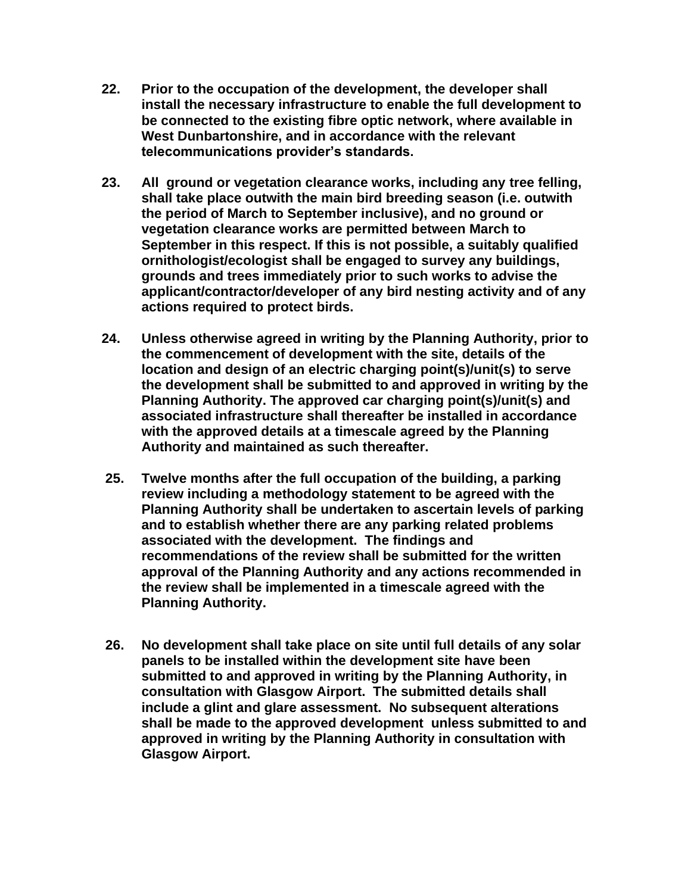- **22. Prior to the occupation of the development, the developer shall install the necessary infrastructure to enable the full development to be connected to the existing fibre optic network, where available in West Dunbartonshire, and in accordance with the relevant telecommunications provider's standards.**
- **23. All ground or vegetation clearance works, including any tree felling, shall take place outwith the main bird breeding season (i.e. outwith the period of March to September inclusive), and no ground or vegetation clearance works are permitted between March to September in this respect. If this is not possible, a suitably qualified ornithologist/ecologist shall be engaged to survey any buildings, grounds and trees immediately prior to such works to advise the applicant/contractor/developer of any bird nesting activity and of any actions required to protect birds.**
- **24. Unless otherwise agreed in writing by the Planning Authority, prior to the commencement of development with the site, details of the location and design of an electric charging point(s)/unit(s) to serve the development shall be submitted to and approved in writing by the Planning Authority. The approved car charging point(s)/unit(s) and associated infrastructure shall thereafter be installed in accordance with the approved details at a timescale agreed by the Planning Authority and maintained as such thereafter.**
- **25. Twelve months after the full occupation of the building, a parking review including a methodology statement to be agreed with the Planning Authority shall be undertaken to ascertain levels of parking and to establish whether there are any parking related problems associated with the development. The findings and recommendations of the review shall be submitted for the written approval of the Planning Authority and any actions recommended in the review shall be implemented in a timescale agreed with the Planning Authority.**
- **26. No development shall take place on site until full details of any solar panels to be installed within the development site have been submitted to and approved in writing by the Planning Authority, in consultation with Glasgow Airport. The submitted details shall include a glint and glare assessment. No subsequent alterations shall be made to the approved development unless submitted to and approved in writing by the Planning Authority in consultation with Glasgow Airport.**